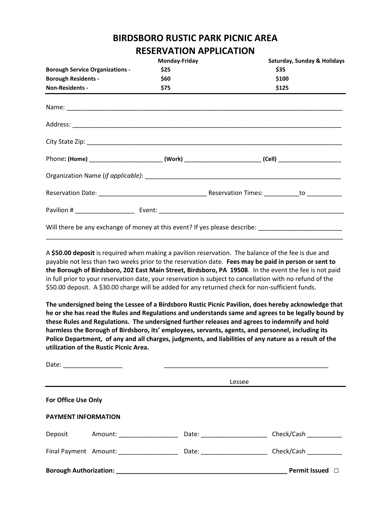## **BIRDSBORO RUSTIC PARK PICNIC AREA RESERVATION APPLICATION**

| KEYEKVATIVIYALI EKATIVIY               |               |                                                                                                      |  |  |  |  |
|----------------------------------------|---------------|------------------------------------------------------------------------------------------------------|--|--|--|--|
|                                        | Monday-Friday | Saturday, Sunday & Holidays                                                                          |  |  |  |  |
| <b>Borough Service Organizations -</b> | \$25          | \$35<br>\$100                                                                                        |  |  |  |  |
| <b>Borough Residents -</b>             | \$60          |                                                                                                      |  |  |  |  |
| <b>Non-Residents -</b>                 | \$75          | \$125                                                                                                |  |  |  |  |
|                                        |               |                                                                                                      |  |  |  |  |
|                                        |               |                                                                                                      |  |  |  |  |
|                                        |               |                                                                                                      |  |  |  |  |
|                                        |               | Phone: (Home) __________________________(Work) _________________________(Cell) _____________________ |  |  |  |  |
|                                        |               |                                                                                                      |  |  |  |  |
|                                        |               |                                                                                                      |  |  |  |  |
|                                        |               |                                                                                                      |  |  |  |  |
|                                        |               | Will there be any exchange of money at this event? If yes please describe: _________________________ |  |  |  |  |

A **\$50.00 deposit** is required when making a pavilion reservation. The balance of the fee is due and payable not less than two weeks prior to the reservation date. **Fees may be paid in person or sent to the Borough of Birdsboro, 202 East Main Street, Birdsboro, PA 19508**. In the event the fee is not paid in full prior to your reservation date, your reservation is subject to cancellation with no refund of the \$50.00 deposit. A \$30.00 charge will be added for any returned check for non-sufficient funds.

\_\_\_\_\_\_\_\_\_\_\_\_\_\_\_\_\_\_\_\_\_\_\_\_\_\_\_\_\_\_\_\_\_\_\_\_\_\_\_\_\_\_\_\_\_\_\_\_\_\_\_\_\_\_\_\_\_\_\_\_\_\_\_\_\_\_\_\_\_\_\_\_\_\_\_\_\_\_\_\_\_\_\_\_\_

**The undersigned being the Lessee of a Birdsboro Rustic Picnic Pavilion, does hereby acknowledge that he or she has read the Rules and Regulations and understands same and agrees to be legally bound by these Rules and Regulations. The undersigned further releases and agrees to indemnify and hold harmless the Borough of Birdsboro, its' employees, servants, agents, and personnel, including its Police Department, of any and all charges, judgments, and liabilities of any nature as a result of the utilization of the Rustic Picnic Area.**

|                               |                              | Lessee                        |                                |  |
|-------------------------------|------------------------------|-------------------------------|--------------------------------|--|
| For Office Use Only           |                              |                               |                                |  |
| <b>PAYMENT INFORMATION</b>    |                              |                               |                                |  |
| Deposit                       | Amount: ____________________ | Date: _______________________ | Check/Cash                     |  |
|                               | Final Payment Amount:        |                               | Check/Cash                     |  |
| <b>Borough Authorization:</b> |                              |                               | <b>Permit Issued</b><br>$\Box$ |  |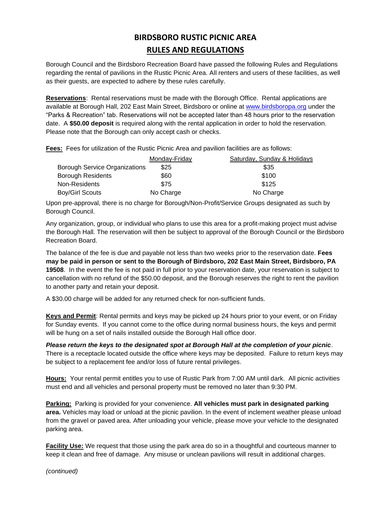## **BIRDSBORO RUSTIC PICNIC AREA RULES AND REGULATIONS**

Borough Council and the Birdsboro Recreation Board have passed the following Rules and Regulations regarding the rental of pavilions in the Rustic Picnic Area. All renters and users of these facilities, as well as their guests, are expected to adhere by these rules carefully.

**Reservations**: Rental reservations must be made with the Borough Office. Rental applications are available at Borough Hall, 202 East Main Street, Birdsboro or online at [www.birdsboropa.org](http://www.birdsboropa.org/) under the "Parks & Recreation" tab. Reservations will not be accepted later than 48 hours prior to the reservation date. A **\$50.00 deposit** is required along with the rental application in order to hold the reservation. Please note that the Borough can only accept cash or checks.

**Fees:** Fees for utilization of the Rustic Picnic Area and pavilion facilities are as follows:

|                                      | Monday-Friday | Saturday, Sunday & Holidays |
|--------------------------------------|---------------|-----------------------------|
| <b>Borough Service Organizations</b> | \$25          | \$35                        |
| <b>Borough Residents</b>             | \$60          | \$100                       |
| Non-Residents                        | \$75          | \$125                       |
| Boy/Girl Scouts                      | No Charge     | No Charge                   |

Upon pre-approval, there is no charge for Borough/Non-Profit/Service Groups designated as such by Borough Council.

Any organization, group, or individual who plans to use this area for a profit-making project must advise the Borough Hall. The reservation will then be subject to approval of the Borough Council or the Birdsboro Recreation Board.

The balance of the fee is due and payable not less than two weeks prior to the reservation date. **Fees may be paid in person or sent to the Borough of Birdsboro, 202 East Main Street, Birdsboro, PA 19508**. In the event the fee is not paid in full prior to your reservation date, your reservation is subject to cancellation with no refund of the \$50.00 deposit, and the Borough reserves the right to rent the pavilion to another party and retain your deposit.

A \$30.00 charge will be added for any returned check for non-sufficient funds.

**Keys and Permit**: Rental permits and keys may be picked up 24 hours prior to your event, or on Friday for Sunday events. If you cannot come to the office during normal business hours, the keys and permit will be hung on a set of nails installed outside the Borough Hall office door.

*Please return the keys to the designated spot at Borough Hall at the completion of your picnic*. There is a receptacle located outside the office where keys may be deposited. Failure to return keys may be subject to a replacement fee and/or loss of future rental privileges.

**Hours:** Your rental permit entitles you to use of Rustic Park from 7:00 AM until dark. All picnic activities must end and all vehicles and personal property must be removed no later than 9:30 PM.

**Parking:** Parking is provided for your convenience. **All vehicles must park in designated parking area.** Vehicles may load or unload at the picnic pavilion. In the event of inclement weather please unload from the gravel or paved area. After unloading your vehicle, please move your vehicle to the designated parking area.

**Facility Use:** We request that those using the park area do so in a thoughtful and courteous manner to keep it clean and free of damage. Any misuse or unclean pavilions will result in additional charges.

*(continued)*